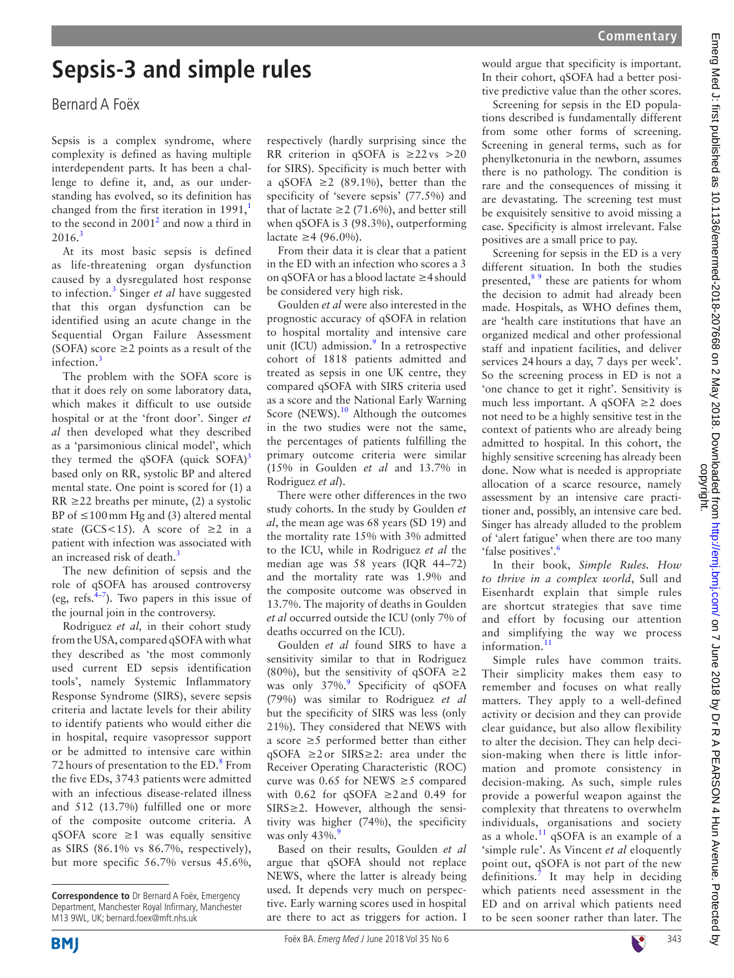## **Sepsis-3 and simple rules**

## Bernard A Foëx

Sepsis is a complex syndrome, where complexity is defined as having multiple interdependent parts. It has been a challenge to define it, and, as our understanding has evolved, so its definition has changed from the first iteration in  $1991$  $1991$ , to the second in  $2001<sup>2</sup>$  $2001<sup>2</sup>$  and now a third in  $2016.<sup>3</sup>$  $2016.<sup>3</sup>$  $2016.<sup>3</sup>$ 

At its most basic sepsis is defined as life-threatening organ dysfunction caused by a dysregulated host response to infection.[3](#page-1-2) Singer *et al* have suggested that this organ dysfunction can be identified using an acute change in the Sequential Organ Failure Assessment (SOFA) score  $\geq$  2 points as a result of the infection.<sup>[3](#page-1-2)</sup>

The problem with the SOFA score is that it does rely on some laboratory data, which makes it difficult to use outside hospital or at the 'front door'. Singer *et al* then developed what they described as a 'parsimonious clinical model', which they termed the qSOFA (quick  $SOFA$ )<sup>[3](#page-1-2)</sup> based only on RR, systolic BP and altered mental state. One point is scored for (1) a  $RR \geq 22$  breaths per minute, (2) a systolic BP of  $\leq 100$  mm Hg and (3) altered mental state (GCS<15). A score of  $\geq 2$  in a patient with infection was associated with an increased risk of death.<sup>3</sup>

The new definition of sepsis and the role of qSOFA has aroused controversy (eg, refs. $\frac{4}{7}$ ). Two papers in this issue of the journal join in the controversy.

Rodriguez *et al,* in their cohort study from the USA, compared qSOFA with what they described as 'the most commonly used current ED sepsis identification tools', namely Systemic Inflammatory Response Syndrome (SIRS), severe sepsis criteria and lactate levels for their ability to identify patients who would either die in hospital, require vasopressor support or be admitted to intensive care within 72 hours of presentation to the ED.<sup>[8](#page-1-4)</sup> From the five EDs, 3743 patients were admitted with an infectious disease-related illness and 512 (13.7%) fulfilled one or more of the composite outcome criteria. A qSOFA score  $\geq 1$  was equally sensitive as SIRS (86.1% vs 86.7%, respectively), but more specific 56.7% versus 45.6%,

respectively (hardly surprising since the RR criterion in qSOFA is  $\geq 22$  vs  $>20$ for SIRS). Specificity is much better with a qSOFA  $\geq$  2 (89.1%), better than the specificity of 'severe sepsis' (77.5%) and that of lactate  $\geq$  2 (71.6%), and better still when qSOFA is 3 (98.3%), outperforming lactate ≥4 (96.0%).

From their data it is clear that a patient in the ED with an infection who scores a 3 on qSOFA or has a blood lactate ≥4should be considered very high risk.

Goulden *et al* were also interested in the prognostic accuracy of qSOFA in relation to hospital mortality and intensive care unit (ICU) admission.<sup>9</sup> In a retrospective cohort of 1818 patients admitted and treated as sepsis in one UK centre, they compared qSOFA with SIRS criteria used as a score and the National Early Warning Score (NEWS). $10$  Although the outcomes in the two studies were not the same, the percentages of patients fulfilling the primary outcome criteria were similar (15% in Goulden *et al* and 13.7% in Rodriguez *et al*).

There were other differences in the two study cohorts. In the study by Goulden *et al*, the mean age was 68 years (SD 19) and the mortality rate 15% with 3% admitted to the ICU, while in Rodriguez *et al* the median age was 58 years (IQR 44–72) and the mortality rate was 1.9% and the composite outcome was observed in 13.7%. The majority of deaths in Goulden *et al* occurred outside the ICU (only 7% of deaths occurred on the ICU).

Goulden *et al* found SIRS to have a sensitivity similar to that in Rodriguez (80%), but the sensitivity of qSOFA  $\geq$ 2 was only 37%.<sup>[9](#page-1-5)</sup> Specificity of qSOFA (79%) was similar to Rodriguez *et al* but the specificity of SIRS was less (only 21%). They considered that NEWS with a score  $\geq$ 5 performed better than either qSOFA ≥2or SIRS≥2: area under the Receiver Operating Characteristic (ROC) curve was 0.65 for NEWS  $\geq$ 5 compared with 0.62 for qSOFA  $\geq$ 2 and 0.49 for SIRS≥2. However, although the sensitivity was higher (74%), the specificity was only  $43\%$ .

Based on their results, Goulden *et al* argue that qSOFA should not replace NEWS, where the latter is already being used. It depends very much on perspective. Early warning scores used in hospital are there to act as triggers for action. I would argue that specificity is important. In their cohort, qSOFA had a better positive predictive value than the other scores.

Screening for sepsis in the ED populations described is fundamentally different from some other forms of screening. Screening in general terms, such as for phenylketonuria in the newborn, assumes there is no pathology. The condition is rare and the consequences of missing it are devastating. The screening test must be exquisitely sensitive to avoid missing a case. Specificity is almost irrelevant. False positives are a small price to pay.

Screening for sepsis in the ED is a very different situation. In both the studies presented, $8<sup>9</sup>$  these are patients for whom the decision to admit had already been made. Hospitals, as WHO defines them, are 'health care institutions that have an organized medical and other professional staff and inpatient facilities, and deliver services 24hours a day, 7 days per week'. So the screening process in ED is not a 'one chance to get it right'. Sensitivity is much less important. A qSOFA ≥2 does not need to be a highly sensitive test in the context of patients who are already being admitted to hospital. In this cohort, the highly sensitive screening has already been done. Now what is needed is appropriate allocation of a scarce resource, namely assessment by an intensive care practitioner and, possibly, an intensive care bed. Singer has already alluded to the problem of 'alert fatigue' when there are too many 'false positives'.[6](#page-1-7)

In their book, *Simple Rules. How to thrive in a complex world*, Sull and Eisenhardt explain that simple rules are shortcut strategies that save time and effort by focusing our attention and simplifying the way we process information.<sup>[11](#page-1-8)</sup>

Simple rules have common traits. Their simplicity makes them easy to remember and focuses on what really matters. They apply to a well-defined activity or decision and they can provide clear guidance, but also allow flexibility to alter the decision. They can help decision-making when there is little information and promote consistency in decision-making. As such, simple rules provide a powerful weapon against the complexity that threatens to overwhelm individuals, organisations and society as a whole.[11](#page-1-8) qSOFA is an example of a 'simple rule'. As Vincent *et al* eloquently point out, qSOFA is not part of the new definitions.[7](#page-1-9) It may help in deciding which patients need assessment in the ED and on arrival which patients need to be seen sooner rather than later. The



**Correspondence to** Dr Bernard A Foëx, Emergency Department, Manchester Royal Infirmary, Manchester M13 9WL, UK; bernard.foex@mft.nhs.uk